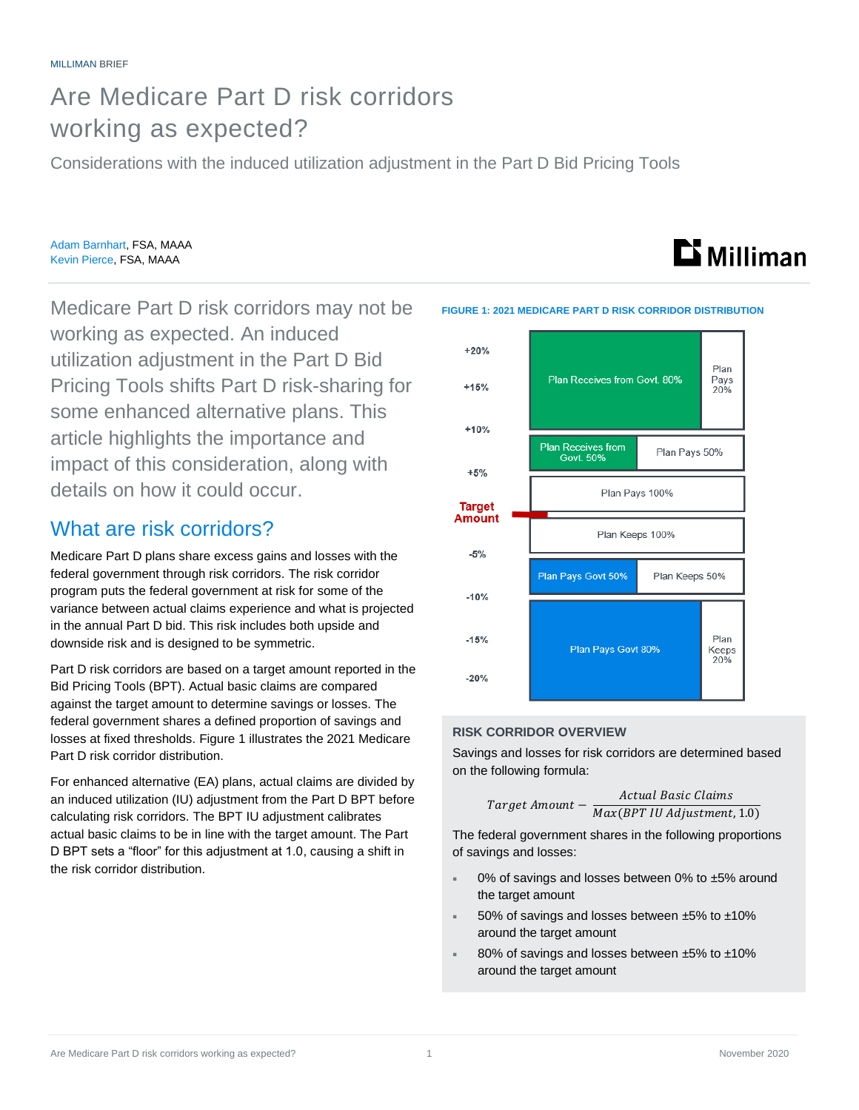## Are Medicare Part D risk corridors working as expected?

Considerations with the induced utilization adjustment in the Part D Bid Pricing Tools

Adam Barnhart, FSA, MAAA Kevin Pierce, FSA, MAAA

Medicare Part D risk corridors may not be working as expected. An induced utilization adjustment in the Part D Bid Pricing Tools shifts Part D risk-sharing for some enhanced alternative plans. This article highlights the importance and impact of this consideration, along with details on how it could occur.

### What are risk corridors?

Medicare Part D plans share excess gains and losses with the federal government through risk corridors. The risk corridor program puts the federal government at risk for some of the variance between actual claims experience and what is projected in the annual Part D bid. This risk includes both upside and downside risk and is designed to be symmetric.

Part D risk corridors are based on a target amount reported in the Bid Pricing Tools (BPT). Actual basic claims are compared against the target amount to determine savings or losses. The federal government shares a defined proportion of savings and losses at fixed thresholds. Figure 1 illustrates the 2021 Medicare Part D risk corridor distribution.

For enhanced alternative (EA) plans, actual claims are divided by an induced utilization (IU) adjustment from the Part D BPT before calculating risk corridors. The BPT IU adjustment calibrates actual basic claims to be in line with the target amount. The Part D BPT sets a "floor" for this adjustment at 1.0, causing a shift in the risk corridor distribution.



**FIGURE 1: 2021 MEDICARE PART D RISK CORRIDOR DISTRIBUTION**

#### **RISK CORRIDOR OVERVIEW**

Savings and losses for risk corridors are determined based on the following formula:

Target Amount – 
$$
\frac{Actual Basic Claims}{Max(BPT IU Adjustment, 1.0)}
$$

The federal government shares in the following proportions of savings and losses:

- 0% of savings and losses between 0% to ±5% around the target amount
- 50% of savings and losses between ±5% to ±10% around the target amount
- 80% of savings and losses between ±5% to ±10% around the target amount

# **Li** Milliman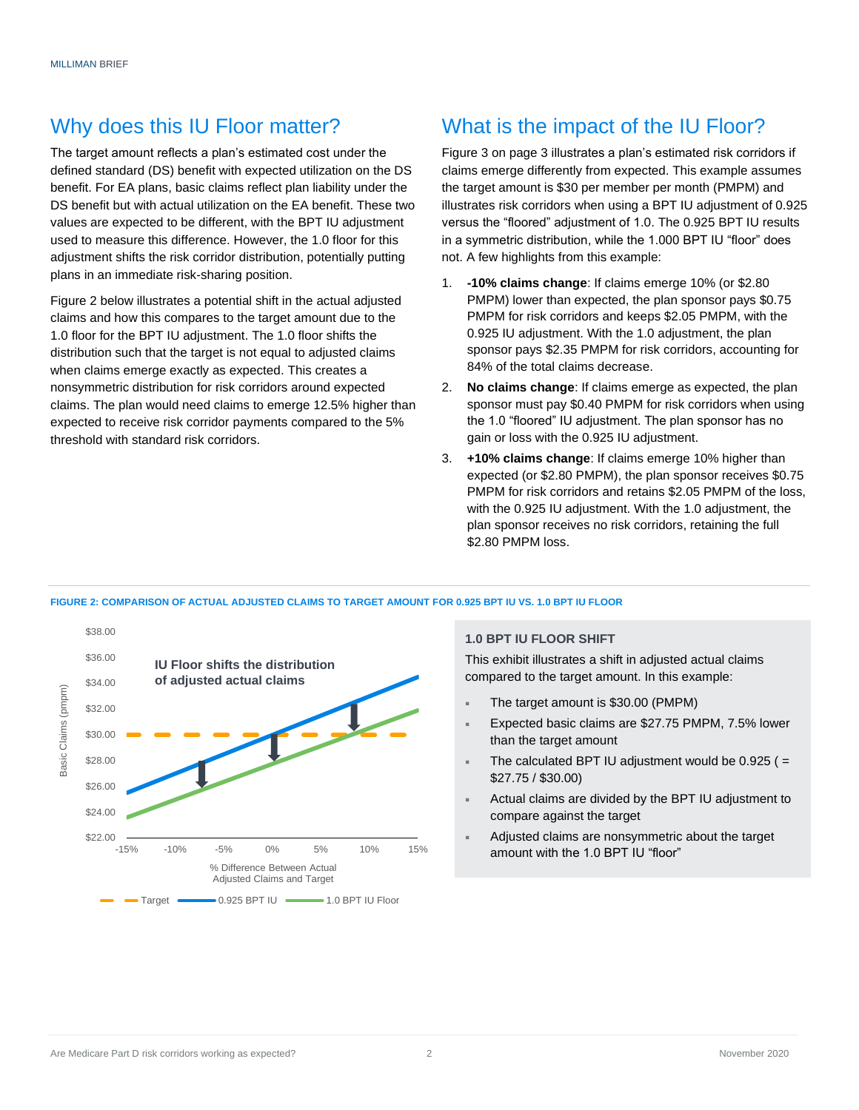## Why does this IU Floor matter?

The target amount reflects a plan's estimated cost under the defined standard (DS) benefit with expected utilization on the DS benefit. For EA plans, basic claims reflect plan liability under the DS benefit but with actual utilization on the EA benefit. These two values are expected to be different, with the BPT IU adjustment used to measure this difference. However, the 1.0 floor for this adjustment shifts the risk corridor distribution, potentially putting plans in an immediate risk-sharing position.

Figure 2 below illustrates a potential shift in the actual adjusted claims and how this compares to the target amount due to the 1.0 floor for the BPT IU adjustment. The 1.0 floor shifts the distribution such that the target is not equal to adjusted claims when claims emerge exactly as expected. This creates a nonsymmetric distribution for risk corridors around expected claims. The plan would need claims to emerge 12.5% higher than expected to receive risk corridor payments compared to the 5% threshold with standard risk corridors.

## What is the impact of the IU Floor?

Figure 3 on page 3 illustrates a plan's estimated risk corridors if claims emerge differently from expected. This example assumes the target amount is \$30 per member per month (PMPM) and illustrates risk corridors when using a BPT IU adjustment of 0.925 versus the "floored" adjustment of 1.0. The 0.925 BPT IU results in a symmetric distribution, while the 1.000 BPT IU "floor" does not. A few highlights from this example:

- 1. **-10% claims change**: If claims emerge 10% (or \$2.80 PMPM) lower than expected, the plan sponsor pays \$0.75 PMPM for risk corridors and keeps \$2.05 PMPM, with the 0.925 IU adjustment. With the 1.0 adjustment, the plan sponsor pays \$2.35 PMPM for risk corridors, accounting for 84% of the total claims decrease.
- 2. **No claims change**: If claims emerge as expected, the plan sponsor must pay \$0.40 PMPM for risk corridors when using the 1.0 "floored" IU adjustment. The plan sponsor has no gain or loss with the 0.925 IU adjustment.
- 3. **+10% claims change**: If claims emerge 10% higher than expected (or \$2.80 PMPM), the plan sponsor receives \$0.75 PMPM for risk corridors and retains \$2.05 PMPM of the loss, with the 0.925 IU adjustment. With the 1.0 adjustment, the plan sponsor receives no risk corridors, retaining the full \$2.80 PMPM loss.

#### **FIGURE 2: COMPARISON OF ACTUAL ADJUSTED CLAIMS TO TARGET AMOUNT FOR 0.925 BPT IU VS. 1.0 BPT IU FLOOR**



#### **1.0 BPT IU FLOOR SHIFT**

This exhibit illustrates a shift in adjusted actual claims compared to the target amount. In this example:

- The target amount is \$30.00 (PMPM)
- Expected basic claims are \$27.75 PMPM, 7.5% lower than the target amount
- The calculated BPT IU adjustment would be  $0.925$  ( $=$ \$27.75 / \$30.00)
- Actual claims are divided by the BPT IU adjustment to compare against the target
- Adjusted claims are nonsymmetric about the target amount with the 1.0 BPT IU "floor"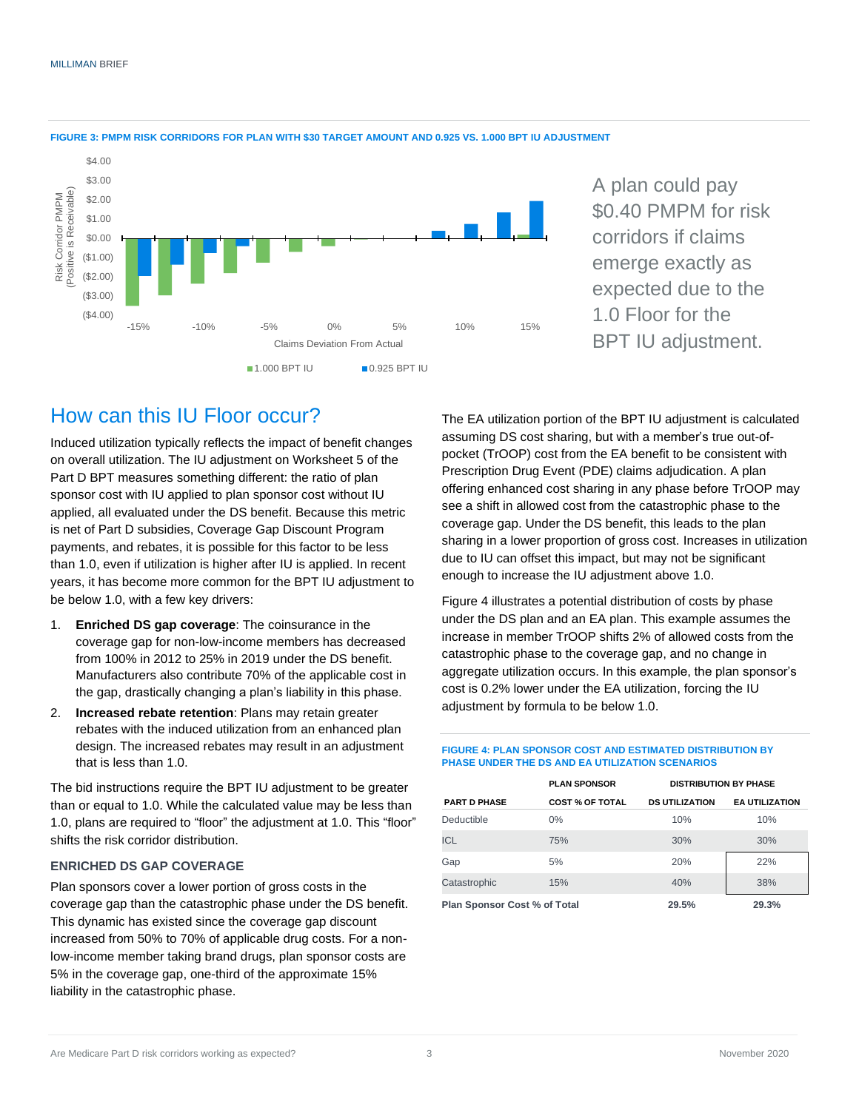

#### **FIGURE 3: PMPM RISK CORRIDORS FOR PLAN WITH \$30 TARGET AMOUNT AND 0.925 VS. 1.000 BPT IU ADJUSTMENT**

A plan could pay \$0.40 PMPM for risk corridors if claims emerge exactly as expected due to the 1.0 Floor for the BPT IU adjustment.

### How can this IU Floor occur?

Induced utilization typically reflects the impact of benefit changes on overall utilization. The IU adjustment on Worksheet 5 of the Part D BPT measures something different: the ratio of plan sponsor cost with IU applied to plan sponsor cost without IU applied, all evaluated under the DS benefit. Because this metric is net of Part D subsidies, Coverage Gap Discount Program payments, and rebates, it is possible for this factor to be less than 1.0, even if utilization is higher after IU is applied. In recent years, it has become more common for the BPT IU adjustment to be below 1.0, with a few key drivers:

- 1. **Enriched DS gap coverage**: The coinsurance in the coverage gap for non-low-income members has decreased from 100% in 2012 to 25% in 2019 under the DS benefit. Manufacturers also contribute 70% of the applicable cost in the gap, drastically changing a plan's liability in this phase.
- 2. **Increased rebate retention**: Plans may retain greater rebates with the induced utilization from an enhanced plan design. The increased rebates may result in an adjustment that is less than 1.0.

The bid instructions require the BPT IU adjustment to be greater than or equal to 1.0. While the calculated value may be less than 1.0, plans are required to "floor" the adjustment at 1.0. This "floor" shifts the risk corridor distribution.

#### **ENRICHED DS GAP COVERAGE**

Plan sponsors cover a lower portion of gross costs in the coverage gap than the catastrophic phase under the DS benefit. This dynamic has existed since the coverage gap discount increased from 50% to 70% of applicable drug costs. For a nonlow-income member taking brand drugs, plan sponsor costs are 5% in the coverage gap, one-third of the approximate 15% liability in the catastrophic phase.

The EA utilization portion of the BPT IU adjustment is calculated assuming DS cost sharing, but with a member's true out-ofpocket (TrOOP) cost from the EA benefit to be consistent with Prescription Drug Event (PDE) claims adjudication. A plan offering enhanced cost sharing in any phase before TrOOP may see a shift in allowed cost from the catastrophic phase to the coverage gap. Under the DS benefit, this leads to the plan sharing in a lower proportion of gross cost. Increases in utilization due to IU can offset this impact, but may not be significant enough to increase the IU adjustment above 1.0.

Figure 4 illustrates a potential distribution of costs by phase under the DS plan and an EA plan. This example assumes the increase in member TrOOP shifts 2% of allowed costs from the catastrophic phase to the coverage gap, and no change in aggregate utilization occurs. In this example, the plan sponsor's cost is 0.2% lower under the EA utilization, forcing the IU adjustment by formula to be below 1.0.

#### **FIGURE 4: PLAN SPONSOR COST AND ESTIMATED DISTRIBUTION BY PHASE UNDER THE DS AND EA UTILIZATION SCENARIOS**

|                              | <b>PLAN SPONSOR</b>    | <b>DISTRIBUTION BY PHASE</b> |                       |
|------------------------------|------------------------|------------------------------|-----------------------|
| <b>PART D PHASE</b>          | <b>COST % OF TOTAL</b> | <b>DS UTILIZATION</b>        | <b>EA UTILIZATION</b> |
| Deductible                   | $0\%$                  | 10%                          | 10%                   |
| ICL                          | 75%                    | 30%                          | 30%                   |
| Gap                          | 5%                     | 20%                          | 22%                   |
| Catastrophic                 | 15%                    | 40%                          | 38%                   |
| Plan Sponsor Cost % of Total |                        | 29.5%                        | 29.3%                 |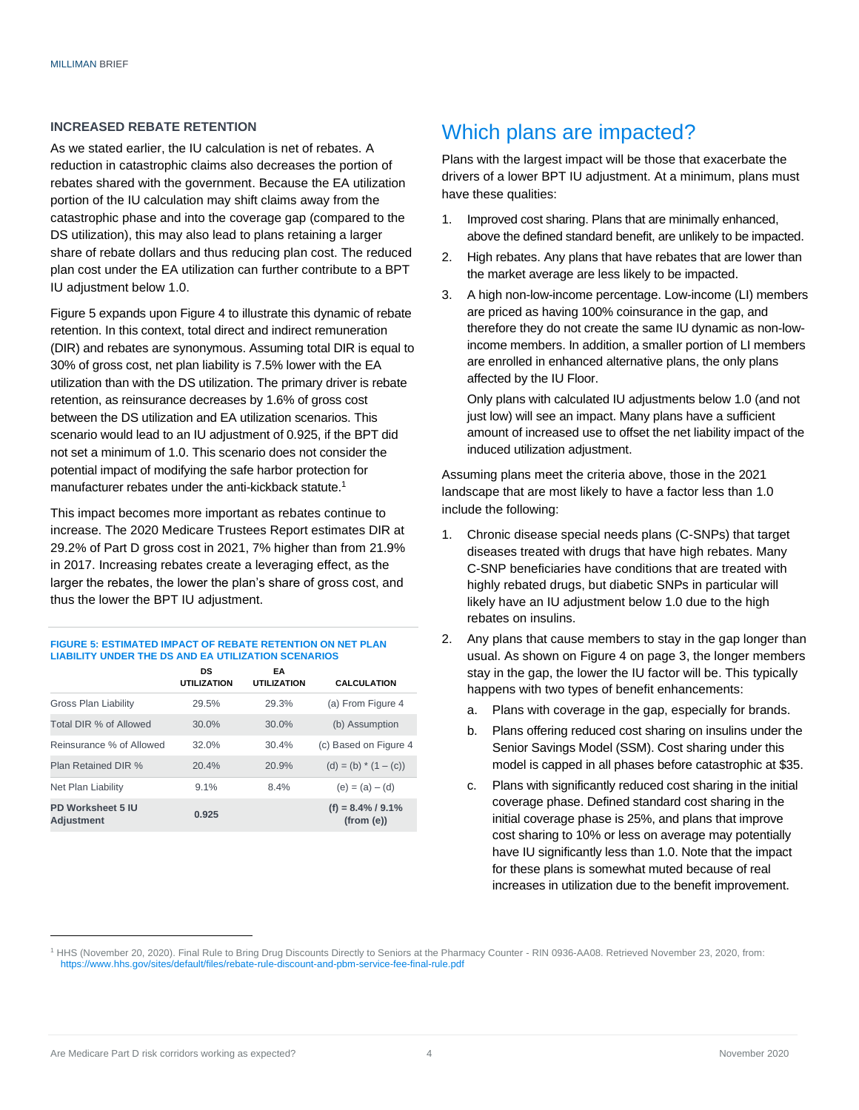#### **INCREASED REBATE RETENTION**

As we stated earlier, the IU calculation is net of rebates. A reduction in catastrophic claims also decreases the portion of rebates shared with the government. Because the EA utilization portion of the IU calculation may shift claims away from the catastrophic phase and into the coverage gap (compared to the DS utilization), this may also lead to plans retaining a larger share of rebate dollars and thus reducing plan cost. The reduced plan cost under the EA utilization can further contribute to a BPT IU adjustment below 1.0.

Figure 5 expands upon Figure 4 to illustrate this dynamic of rebate retention. In this context, total direct and indirect remuneration (DIR) and rebates are synonymous. Assuming total DIR is equal to 30% of gross cost, net plan liability is 7.5% lower with the EA utilization than with the DS utilization. The primary driver is rebate retention, as reinsurance decreases by 1.6% of gross cost between the DS utilization and EA utilization scenarios. This scenario would lead to an IU adjustment of 0.925, if the BPT did not set a minimum of 1.0. This scenario does not consider the potential impact of modifying the safe harbor protection for manufacturer rebates under the anti-kickback statute.<sup>1</sup>

This impact becomes more important as rebates continue to increase. The 2020 Medicare Trustees Report estimates DIR at 29.2% of Part D gross cost in 2021, 7% higher than from 21.9% in 2017. Increasing rebates create a leveraging effect, as the larger the rebates, the lower the plan's share of gross cost, and thus the lower the BPT IU adjustment.

#### **FIGURE 5: ESTIMATED IMPACT OF REBATE RETENTION ON NET PLAN LIABILITY UNDER THE DS AND EA UTILIZATION SCENARIOS**

|                                               | DS<br><b>UTILIZATION</b> | EA<br><b>UTILIZATION</b> | <b>CALCULATION</b>                  |
|-----------------------------------------------|--------------------------|--------------------------|-------------------------------------|
| Gross Plan Liability                          | 29.5%                    | 29.3%                    | (a) From Figure 4                   |
| Total DIR % of Allowed                        | 30.0%                    | 30.0%                    | (b) Assumption                      |
| Reinsurance % of Allowed                      | 32.0%                    | 30.4%                    | (c) Based on Figure 4               |
| Plan Retained DIR %                           | 20.4%                    | 20.9%                    | $(d) = (b) * (1 - (c))$             |
| Net Plan Liability                            | 9.1%                     | 8.4%                     | $(e) = (a) - (d)$                   |
| <b>PD Worksheet 5 IU</b><br><b>Adjustment</b> | 0.925                    |                          | $(f) = 8.4\% / 9.1\%$<br>(from (e)) |

## Which plans are impacted?

Plans with the largest impact will be those that exacerbate the drivers of a lower BPT IU adjustment. At a minimum, plans must have these qualities:

- 1. Improved cost sharing. Plans that are minimally enhanced, above the defined standard benefit, are unlikely to be impacted.
- 2. High rebates. Any plans that have rebates that are lower than the market average are less likely to be impacted.
- 3. A high non-low-income percentage. Low-income (LI) members are priced as having 100% coinsurance in the gap, and therefore they do not create the same IU dynamic as non-lowincome members. In addition, a smaller portion of LI members are enrolled in enhanced alternative plans, the only plans affected by the IU Floor.

Only plans with calculated IU adjustments below 1.0 (and not just low) will see an impact. Many plans have a sufficient amount of increased use to offset the net liability impact of the induced utilization adjustment.

Assuming plans meet the criteria above, those in the 2021 landscape that are most likely to have a factor less than 1.0 include the following:

- 1. Chronic disease special needs plans (C-SNPs) that target diseases treated with drugs that have high rebates. Many C-SNP beneficiaries have conditions that are treated with highly rebated drugs, but diabetic SNPs in particular will likely have an IU adjustment below 1.0 due to the high rebates on insulins.
- 2. Any plans that cause members to stay in the gap longer than usual. As shown on Figure 4 on page 3, the longer members stay in the gap, the lower the IU factor will be. This typically happens with two types of benefit enhancements:
	- a. Plans with coverage in the gap, especially for brands.
	- b. Plans offering reduced cost sharing on insulins under the Senior Savings Model (SSM). Cost sharing under this model is capped in all phases before catastrophic at \$35.
	- c. Plans with significantly reduced cost sharing in the initial coverage phase. Defined standard cost sharing in the initial coverage phase is 25%, and plans that improve cost sharing to 10% or less on average may potentially have IU significantly less than 1.0. Note that the impact for these plans is somewhat muted because of real increases in utilization due to the benefit improvement.

<sup>1</sup> HHS (November 20, 2020). Final Rule to Bring Drug Discounts Directly to Seniors at the Pharmacy Counter - RIN 0936-AA08. Retrieved November 23, 2020, from: <https://www.hhs.gov/sites/default/files/rebate-rule-discount-and-pbm-service-fee-final-rule.pdf>